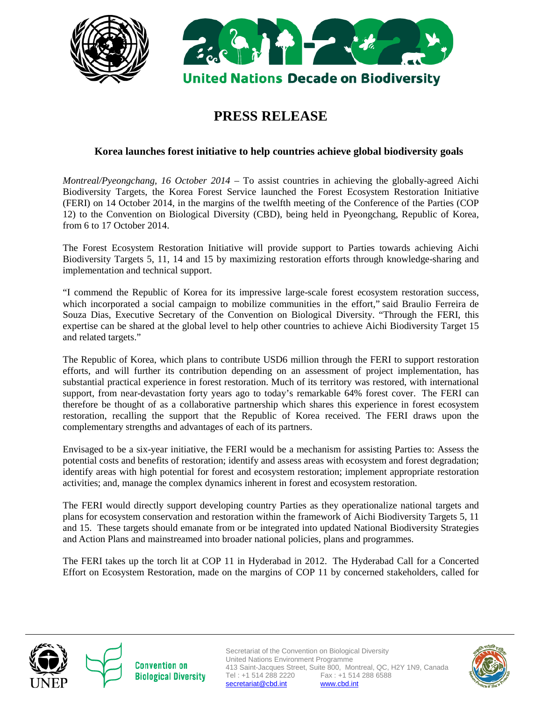



# **PRESS RELEASE**

# **Korea launches forest initiative to help countries achieve global biodiversity goals**

*Montreal/Pyeongchang, 16 October 2014 –* To assist countries in achieving the globally-agreed Aichi Biodiversity Targets, the Korea Forest Service launched the Forest Ecosystem Restoration Initiative (FERI) on 14 October 2014, in the margins of the twelfth meeting of the Conference of the Parties (COP 12) to the Convention on Biological Diversity (CBD), being held in Pyeongchang, Republic of Korea, from 6 to 17 October 2014.

The Forest Ecosystem Restoration Initiative will provide support to Parties towards achieving Aichi Biodiversity Targets 5, 11, 14 and 15 by maximizing restoration efforts through knowledge-sharing and implementation and technical support.

"I commend the Republic of Korea for its impressive large-scale forest ecosystem restoration success, which incorporated a social campaign to mobilize communities in the effort," said Braulio Ferreira de Souza Dias, Executive Secretary of the Convention on Biological Diversity. "Through the FERI, this expertise can be shared at the global level to help other countries to achieve Aichi Biodiversity Target 15 and related targets."

The Republic of Korea, which plans to contribute USD6 million through the FERI to support restoration efforts, and will further its contribution depending on an assessment of project implementation, has substantial practical experience in forest restoration. Much of its territory was restored, with international support, from near-devastation forty years ago to today's remarkable 64% forest cover. The FERI can therefore be thought of as a collaborative partnership which shares this experience in forest ecosystem restoration, recalling the support that the Republic of Korea received. The FERI draws upon the complementary strengths and advantages of each of its partners.

Envisaged to be a six-year initiative, the FERI would be a mechanism for assisting Parties to: Assess the potential costs and benefits of restoration; identify and assess areas with ecosystem and forest degradation; identify areas with high potential for forest and ecosystem restoration; implement appropriate restoration activities; and, manage the complex dynamics inherent in forest and ecosystem restoration.

The FERI would directly support developing country Parties as they operationalize national targets and plans for ecosystem conservation and restoration within the framework of Aichi Biodiversity Targets 5, 11 and 15. These targets should emanate from or be integrated into updated National Biodiversity Strategies and Action Plans and mainstreamed into broader national policies, plans and programmes.

The FERI takes up the torch lit at COP 11 in Hyderabad in 2012. The Hyderabad Call for a Concerted Effort on Ecosystem Restoration, made on the margins of COP 11 by concerned stakeholders, called for